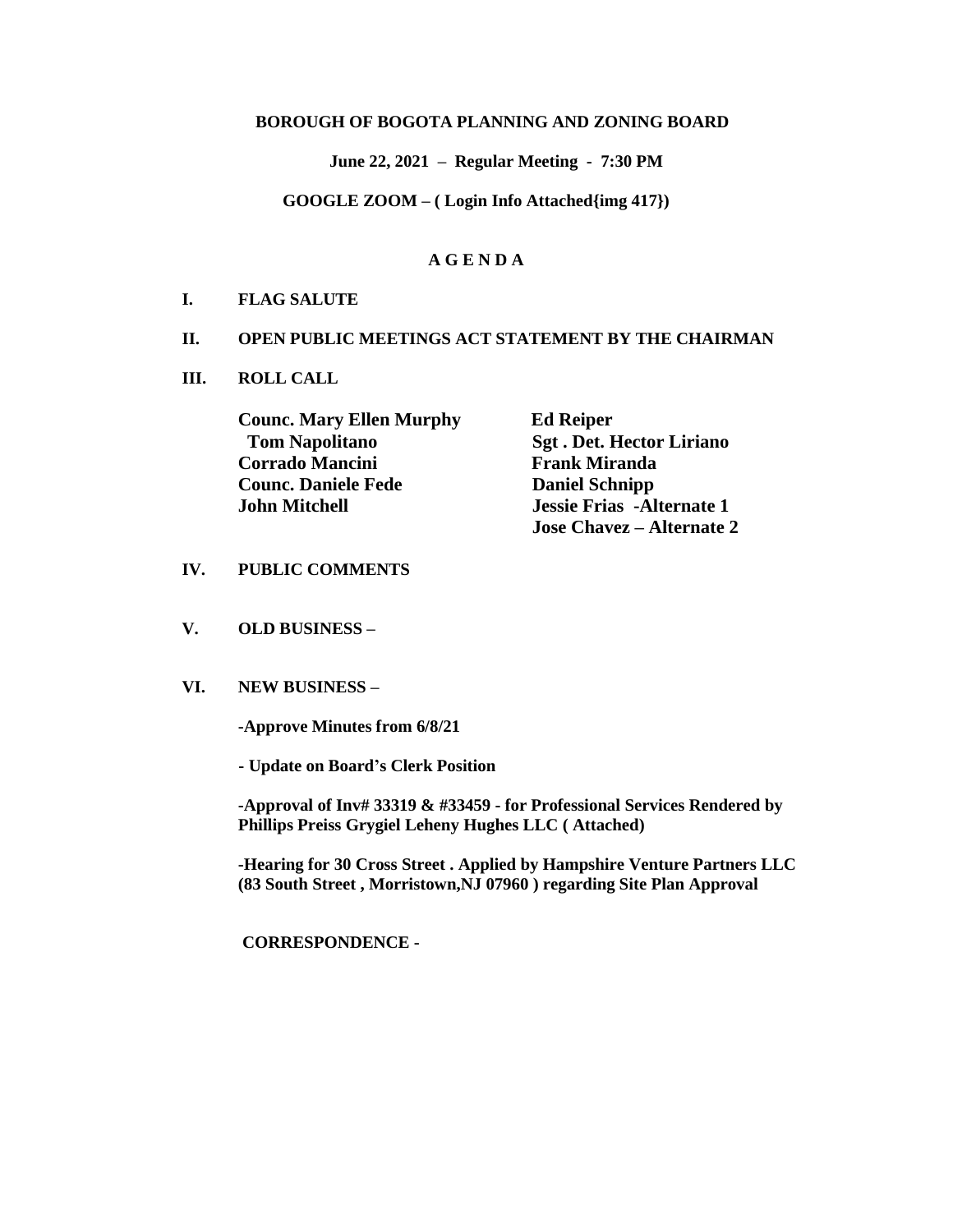### **BOROUGH OF BOGOTA PLANNING AND ZONING BOARD**

 **June 22, 2021 – Regular Meeting - 7:30 PM**

**GOOGLE ZOOM – ( Login Info Attached{img 417})**

### **A G E N D A**

#### **I. FLAG SALUTE**

#### **II. OPEN PUBLIC MEETINGS ACT STATEMENT BY THE CHAIRMAN**

**III. ROLL CALL**

| <b>Counc. Mary Ellen Murphy</b> | <b>Ed Reiper</b>                  |
|---------------------------------|-----------------------------------|
| <b>Tom Napolitano</b>           | <b>Sgt. Det. Hector Liriano</b>   |
| <b>Corrado Mancini</b>          | <b>Frank Miranda</b>              |
| <b>Counc. Daniele Fede</b>      | <b>Daniel Schnipp</b>             |
| <b>John Mitchell</b>            | <b>Jessie Frias</b> - Alternate 1 |
|                                 | <b>Jose Chavez</b> – Alternate 2  |

#### **IV. PUBLIC COMMENTS**

**V. OLD BUSINESS –**

#### **VI. NEW BUSINESS –**

**-Approve Minutes from 6/8/21**

 **- Update on Board's Clerk Position**

**-Approval of Inv# 33319 & #33459 - for Professional Services Rendered by Phillips Preiss Grygiel Leheny Hughes LLC ( Attached)**

**-Hearing for 30 Cross Street . Applied by Hampshire Venture Partners LLC (83 South Street , Morristown,NJ 07960 ) regarding Site Plan Approval**

**CORRESPONDENCE -**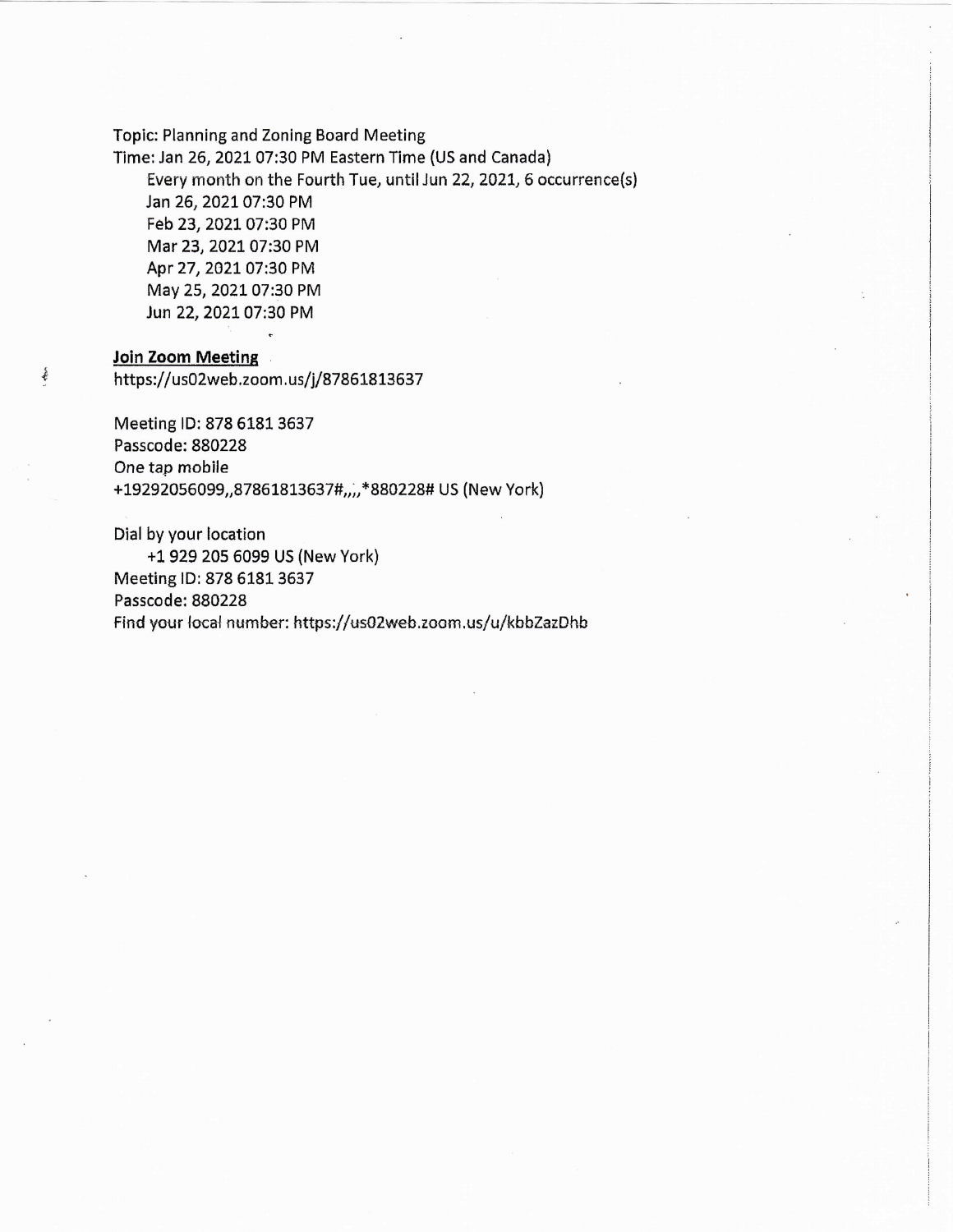Topic: Planning and Zoning Board Meeting

Time: Jan 26, 2021 07:30 PM Eastern Time (US and Canada) Every month on the Fourth Tue, until Jun 22, 2021, 6 occurrence(s) Jan 26, 2021 07:30 PM Feb 23, 2021 07:30 PM Mar 23, 2021 07:30 PM Apr 27, 2021 07:30 PM May 25, 2021 07:30 PM Jun 22, 2021 07:30 PM

### Join Zoom Meeting

事

https://us02web.zoom.us/j/87861813637

Meeting ID: 878 6181 3637 Passcode: 880228 One tap mobile +19292056099,,87861813637#,,,,\*880228# US (New York)

Dial by your location +1 929 205 6099 US (New York) Meeting ID: 878 6181 3637 Passcode: 880228 Find your local number: https://us02web.zoom.us/u/kbbZazDhb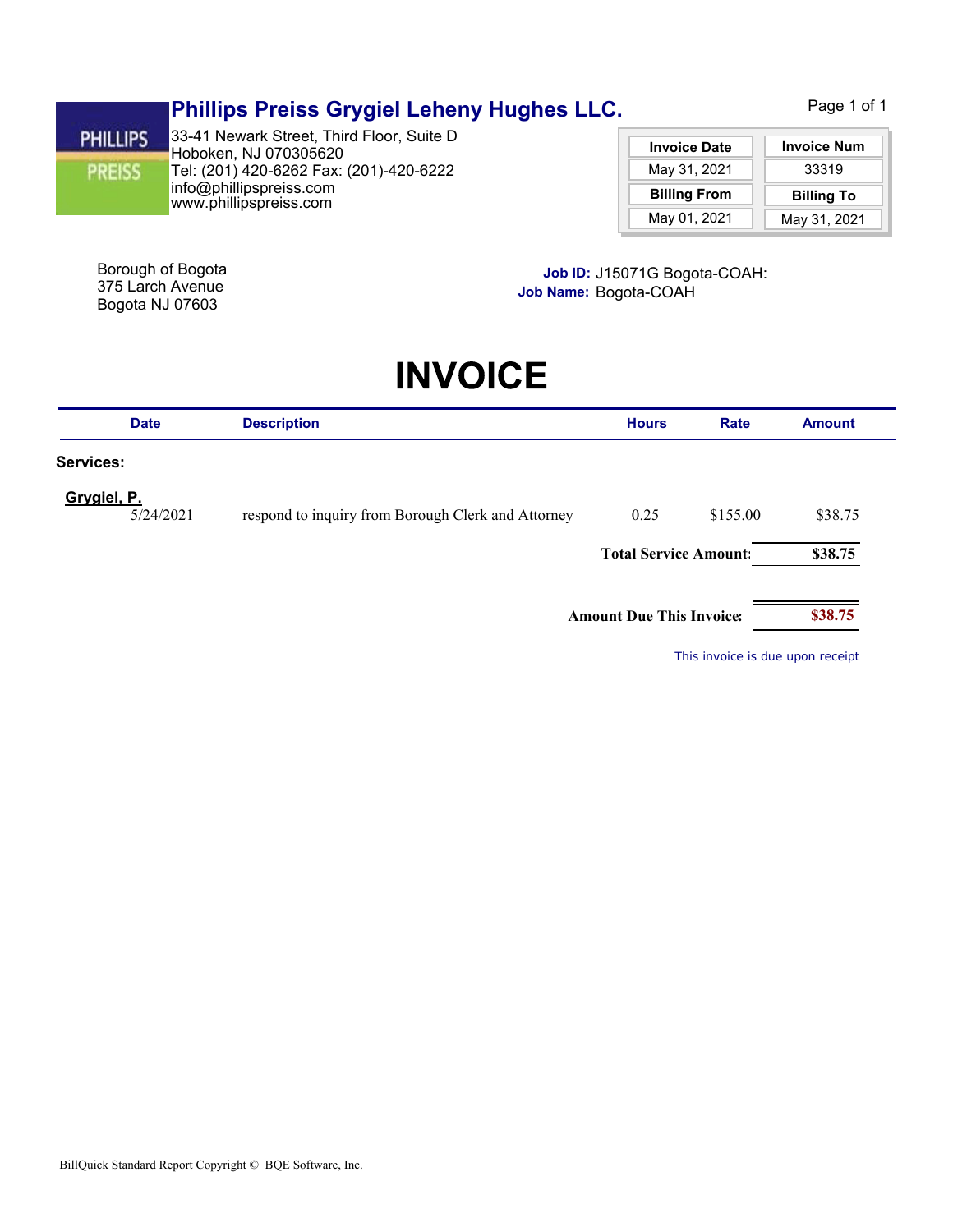## **Phillips Preiss Grygiel Leheny Hughes LLC.**

Page 1 of 1

**PHILLIPS PREISS** 

www.phillipspreiss.com info@phillipspreiss.com Tel: (201) 420-6262 Fax: (201)-420-6222 Hoboken, NJ 070305620 33-41 Newark Street, Third Floor, Suite D

| <b>Invoice Date</b> | <b>Invoice Num</b> |  |
|---------------------|--------------------|--|
| May 31, 2021        | 33319              |  |
|                     |                    |  |
| <b>Billing From</b> | <b>Billing To</b>  |  |

Bogota NJ 07603

**Job ID:** Borough of Bogota J15071G Bogota-COAH: 375 Larch Avenue **Job Name:** Bogota-COAH

# **INVOICE**

| <b>Date</b>                                                                    | <b>Description</b>           | <b>Hours</b>                    | <b>Rate</b> | <b>Amount</b> |
|--------------------------------------------------------------------------------|------------------------------|---------------------------------|-------------|---------------|
| Services:                                                                      |                              |                                 |             |               |
| Grygiel, P.<br>5/24/2021<br>respond to inquiry from Borough Clerk and Attorney |                              | 0.25                            | \$155.00    | \$38.75       |
|                                                                                | <b>Total Service Amount:</b> |                                 | \$38.75     |               |
|                                                                                |                              |                                 |             |               |
|                                                                                |                              | <b>Amount Due This Invoice:</b> |             | \$38.75       |

*This invoice is due upon receipt*